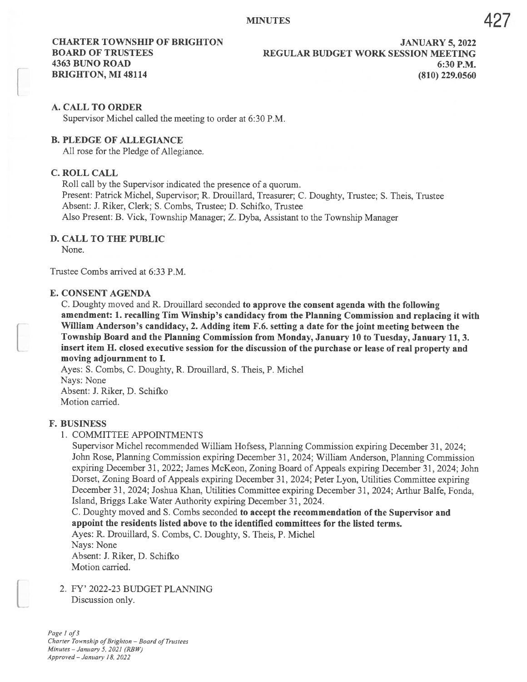## A. CALL TO ORDER

Supervisor Michel called the meeting to order at 6:30 P.M.

## B. PLEDGE OF ALLEGIANCE

All rose for the Pledge of Allegiance.

# C. ROLL CALL

Roll call by the Supervisor indicated the presence of <sup>a</sup> quorum. Present: Patrick Michel, Supervisor; R. Drouillard, Treasurer; C. Doughty, Trustee; S. Theis, Trustee Absent: J. Riker, Clerk; S. Combs, Trustee; D. Schifko, Trustee Also Present: B. Vick, Township Manager; Z. Dyba, Assistant to the Township Manager

### D. CALL TO THE PUBLIC

None.

Trustee Combs arrived at 6:33 P.M.

#### E. CONSENT AGENDA

C. Doughty moved and R. Drouillard seconded to approve the consent agenda with the following amendment: 1. recalling Tim Winship's candidacy from the Planning Commission and replacing it with William Anderson's candidacy, 2. Adding item F.6. setting <sup>a</sup> date for the joint meeting between the Township Board and the Planning Commission from Monday, January 10 to Tuesday, January 11, 3. insert item H. closed executive session for the discussion of the purchase or lease of real property and moving adjournment to I.

Ayes: S. Combs, C. Doughty, R. Drouillard, S. Theis, P. Michel Nays: None Absent: J. Riker, D. Schifko Motion carried.

#### F. BUSINESS

#### 1. COMMITTEE APPOINTMENTS

Supervisor Michel recommended William Hofsess, Planning Commission expiring December 31, 2024; John Rose, Planning Commission expiring December 31, 2024; William Anderson, Planning Commission expiring December 31, 2022; James McKeon, Zoning Board of Appeals expiring December 31, 2024; John Dorset, Zoning Board of Appeals expiring December 31, 2024; Peter Lyon, Utilities Committee expiring December 31, 2024; Joshua Khan, Utilities Committee expiring December 31, 2024; Arthur Balfe, Fonda, Island, Briggs Lake Water Authority expiring December 31, 2024.

# C. Doughty moved and S. Combs seconded to accept the recommendation of the Supervisor and appoint the residents listed above to the identified committees for the listed terms.

Ayes: R. Drouillard, S. Combs, C. Doughty, S. Theis, P. Michel Nays: None Absent: J. Riker, D. Schifko Motion carried.

2. FY' 2022-23 BUDGET PLANNING Discussion only.

Page 1 of 3 Charter Township of Brighton - Board of Trustees Minutes — January 5, 2021 (RBW,) Approved — January 18, 2022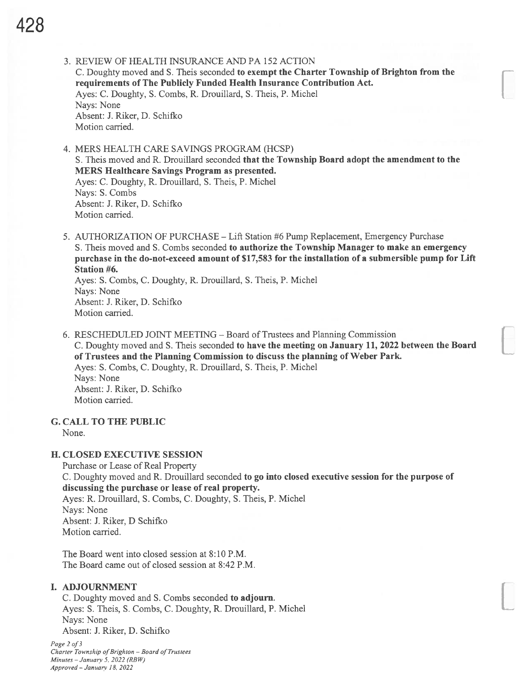- 3. REVIEW OF HEALTH INSURANCE AND PA 152 ACTION C. Doughty moved and S. Theis seconded to exempt the Charter Township of Brighton from the requirements of The Publicly Funded Health Insurance Contribution Act. Ayes: C. Doughty, S. Combs, R. Drouillard, S. Theis, P. Michel Nays: None Absent: J. Riker, D. Schifko Motion carried.
- 4. MERS HEALTH CARE SAVINGS PROGRAM (HCSP) S. Theis moved and R. Drouillard seconded that the Township Board adopt the amendment to the MERS Healthcare Savings Program as presented. Ayes: C. Doughty, R. Drouillard, S. Theis, P. Michel Nays: S. Combs Absent: J. Riker, D. Schifico Motion carried.
- 5. AUTHORIZATION OF PURCHASE Lift Station #6 Pump Replacement, Emergency Purchase S. Theis moved and S. Combs seconded to authorize the Township Manager to make an emergency purchase in the do-not-exceed amount of \$17,583 for the installation of <sup>a</sup> submersible pump for Lift Station #6.

Ayes: S. Combs, C. Doughty, R. Drouillard, S. Theis, P. Michel Nays: None Absent: J. Riker, D. Schifko Motion carried.

6. RESCHEDULED JOINT MEETING -Board of Trustees and Planning Commission C. Doughty moved and S. Theis seconded to have the meeting on January 11, 2022 between the Board of Trustees and the Planning Commission to discuss the planning of Weber Park. Ayes: S. Combs, C. Doughty, R. Drouillard, S. Theis, P. Michel Nays: None Absent: J. Riker, D. Schifico Motion carried.

# G. CALL TO THE PUBLIC

None.

## H. CLOSED EXECUTWE SESSION

Purchase or Lease of Real Property C. Doughty moved and R. Drouillard seconded to go into closed executive session for the purpose of discussing the purchase or lease of real property. Ayes: R. Drouillard, S. Combs, C. Doughty, S. Theis, P. Michel Nays: None Absent: J. Riker, D Schifico Motion carried.

The Board went into closed session at 8:10 P.M. The Board came out of closed session at 8:42 P.M.

# I. ADJOURNMENT

C. Doughty moved and S. Combs seconded to adjourn. Ayes: S. Theis, S. Combs, C. Doughty, R. Drouillard, P. Michel Nays: None Absent: J. Riker, D. Schifico

Page 2 of 3 Charter Township of Brighton - Board of Trustees Minutes — January 5. 2022 (RBW) Approved — January 18, 2022